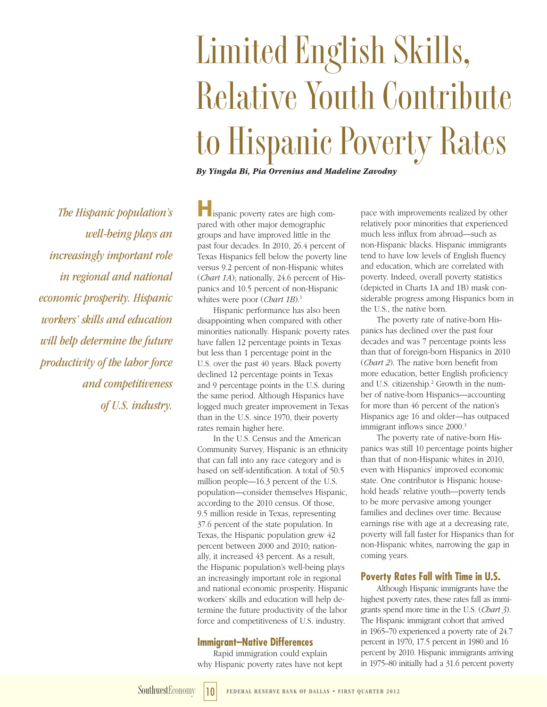# **Limited English Skills, Relative Youth Contribute to Hispanic Poverty Rates**

*By Yingda Bi, Pia Orrenius and Madeline Zavodny*

*The Hispanic population's well-being plays an increasingly important role in regional and national economic prosperity. Hispanic workers' skills and education will help determine the future productivity of the labor force and competitiveness of U.S. industry.*

**H**ispanic poverty rates are high compared with other major demographic groups and have improved little in the past four decades. In 2010, 26.4 percent of Texas Hispanics fell below the poverty line versus 9.2 percent of non-Hispanic whites (*Chart 1A*); nationally, 24.6 percent of Hispanics and 10.5 percent of non-Hispanic whites were poor (*Chart 1B*).<sup>1</sup>

Hispanic performance has also been disappointing when compared with other minorities nationally. Hispanic poverty rates have fallen 12 percentage points in Texas but less than 1 percentage point in the U.S. over the past 40 years. Black poverty declined 12 percentage points in Texas and 9 percentage points in the U.S. during the same period. Although Hispanics have logged much greater improvement in Texas than in the U.S. since 1970, their poverty rates remain higher here.

In the U.S. Census and the American Community Survey, Hispanic is an ethnicity that can fall into any race category and is based on self-identification. A total of 50.5 million people—16.3 percent of the U.S. population—consider themselves Hispanic, according to the 2010 census. Of those, 9.5 million reside in Texas, representing 37.6 percent of the state population. In Texas, the Hispanic population grew 42 percent between 2000 and 2010; nationally, it increased 43 percent. As a result, the Hispanic population's well-being plays an increasingly important role in regional and national economic prosperity. Hispanic workers' skills and education will help determine the future productivity of the labor force and competitiveness of U.S. industry.

## **Immigrant–Native Differences**

Rapid immigration could explain why Hispanic poverty rates have not kept pace with improvements realized by other relatively poor minorities that experienced much less influx from abroad—such as non-Hispanic blacks. Hispanic immigrants tend to have low levels of English fluency and education, which are correlated with poverty. Indeed, overall poverty statistics (depicted in Charts 1A and 1B) mask considerable progress among Hispanics born in the U.S., the native born.

The poverty rate of native-born Hispanics has declined over the past four decades and was 7 percentage points less than that of foreign-born Hispanics in 2010 (*Chart 2*). The native born benefit from more education, better English proficiency and U.S. citizenship.<sup>2</sup> Growth in the number of native-born Hispanics—accounting for more than 46 percent of the nation's Hispanics age 16 and older—has outpaced immigrant inflows since 2000.<sup>3</sup>

The poverty rate of native-born Hispanics was still 10 percentage points higher than that of non-Hispanic whites in 2010, even with Hispanics' improved economic state. One contributor is Hispanic household heads' relative youth—poverty tends to be more pervasive among younger families and declines over time. Because earnings rise with age at a decreasing rate, poverty will fall faster for Hispanics than for non-Hispanic whites, narrowing the gap in coming years.

# **Poverty Rates Fall with Time in U.S.**

Although Hispanic immigrants have the highest poverty rates, these rates fall as immigrants spend more time in the U.S. (*Chart 3*). The Hispanic immigrant cohort that arrived in 1965–70 experienced a poverty rate of 24.7 percent in 1970, 17.5 percent in 1980 and 16 percent by 2010. Hispanic immigrants arriving in 1975–80 initially had a 31.6 percent poverty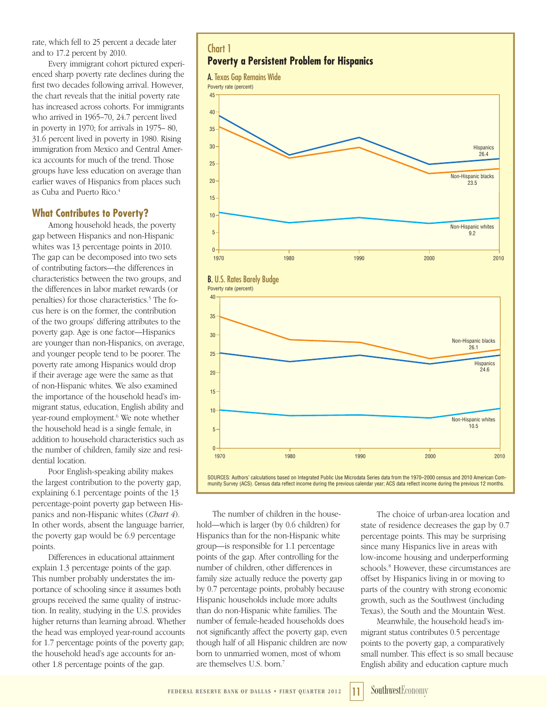rate, which fell to 25 percent a decade later and to 17.2 percent by 2010.

Every immigrant cohort pictured experienced sharp poverty rate declines during the first two decades following arrival. However, the chart reveals that the initial poverty rate has increased across cohorts. For immigrants who arrived in 1965–70, 24.7 percent lived in poverty in 1970; for arrivals in 1975– 80, 31.6 percent lived in poverty in 1980. Rising immigration from Mexico and Central America accounts for much of the trend. Those groups have less education on average than earlier waves of Hispanics from places such as Cuba and Puerto Rico.4

# **What Contributes to Poverty?**

Among household heads, the poverty gap between Hispanics and non-Hispanic whites was 13 percentage points in 2010. The gap can be decomposed into two sets of contributing factors—the differences in characteristics between the two groups, and the differences in labor market rewards (or penalties) for those characteristics.<sup>5</sup> The focus here is on the former, the contribution of the two groups' differing attributes to the poverty gap. Age is one factor—Hispanics are younger than non-Hispanics, on average, and younger people tend to be poorer. The poverty rate among Hispanics would drop if their average age were the same as that of non-Hispanic whites. We also examined the importance of the household head's immigrant status, education, English ability and year-round employment.<sup>6</sup> We note whether the household head is a single female, in addition to household characteristics such as the number of children, family size and residential location.

Poor English-speaking ability makes the largest contribution to the poverty gap, explaining 6.1 percentage points of the 13 percentage-point poverty gap between Hispanics and non-Hispanic whites (*Chart 4*). In other words, absent the language barrier, the poverty gap would be 6.9 percentage points.

Differences in educational attainment explain 1.3 percentage points of the gap. This number probably understates the importance of schooling since it assumes both groups received the same quality of instruction. In reality, studying in the U.S. provides higher returns than learning abroad. Whether the head was employed year-round accounts for 1.7 percentage points of the poverty gap; the household head's age accounts for another 1.8 percentage points of the gap.



The number of children in the household—which is larger (by 0.6 children) for Hispanics than for the non-Hispanic white group—is responsible for 1.1 percentage points of the gap. After controlling for the number of children, other differences in family size actually reduce the poverty gap by 0.7 percentage points, probably because Hispanic households include more adults than do non-Hispanic white families. The number of female-headed households does not significantly affect the poverty gap, even though half of all Hispanic children are now born to unmarried women, most of whom are themselves U.S. born.7

The choice of urban-area location and state of residence decreases the gap by 0.7 percentage points. This may be surprising since many Hispanics live in areas with low-income housing and underperforming schools.8 However, these circumstances are offset by Hispanics living in or moving to parts of the country with strong economic growth, such as the Southwest (including Texas), the South and the Mountain West.

Meanwhile, the household head's immigrant status contributes 0.5 percentage points to the poverty gap, a comparatively small number. This effect is so small because English ability and education capture much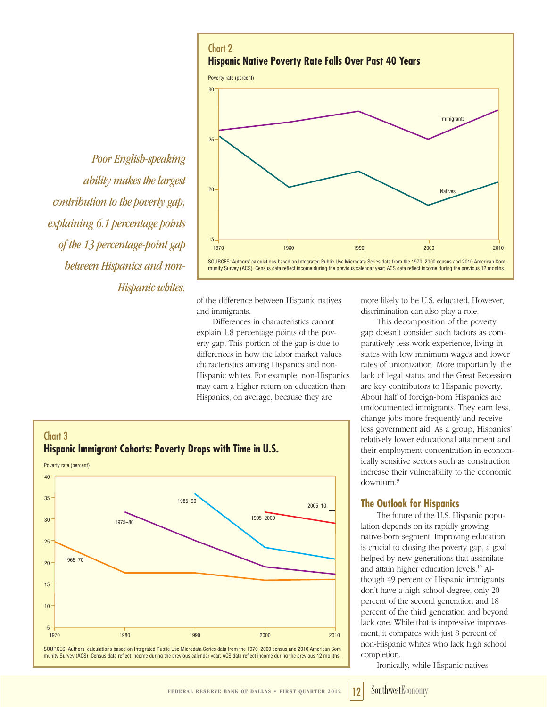Chart 2 **Hispanic Native Poverty Rate Falls Over Past 40 Years** Poverty rate (percent) 1970 1980 1990 2000 2010 Immigrants Natives 15 20 25 30

SOURCES: Authors' calculations based on Integrated Public Use Microdata Series data from the 1970–2000 census and 2010 American Community Survey (ACS). Census data reflect income during the previous calendar year; ACS data reflect income during the previous 12 months.

*Poor English-speaking ability makes the largest contribution to the poverty gap, explaining 6.1 percentage points of the 13 percentage-point gap between Hispanics and non-Hispanic whites.*

of the difference between Hispanic natives and immigrants.

Differences in characteristics cannot explain 1.8 percentage points of the poverty gap. This portion of the gap is due to differences in how the labor market values characteristics among Hispanics and non-Hispanic whites. For example, non-Hispanics may earn a higher return on education than Hispanics, on average, because they are



munity Survey (ACS). Census data reflect income during the previous calendar year; ACS data reflect income during the previous 12 months.

more likely to be U.S. educated. However, discrimination can also play a role.

This decomposition of the poverty gap doesn't consider such factors as comparatively less work experience, living in states with low minimum wages and lower rates of unionization. More importantly, the lack of legal status and the Great Recession are key contributors to Hispanic poverty. About half of foreign-born Hispanics are undocumented immigrants. They earn less, change jobs more frequently and receive less government aid. As a group, Hispanics' relatively lower educational attainment and their employment concentration in economically sensitive sectors such as construction increase their vulnerability to the economic downturn.9

# **The Outlook for Hispanics**

The future of the U.S. Hispanic population depends on its rapidly growing native-born segment. Improving education is crucial to closing the poverty gap, a goal helped by new generations that assimilate and attain higher education levels.10 Although 49 percent of Hispanic immigrants don't have a high school degree, only 20 percent of the second generation and 18 percent of the third generation and beyond lack one. While that is impressive improvement, it compares with just 8 percent of non-Hispanic whites who lack high school completion.

Ironically, while Hispanic natives